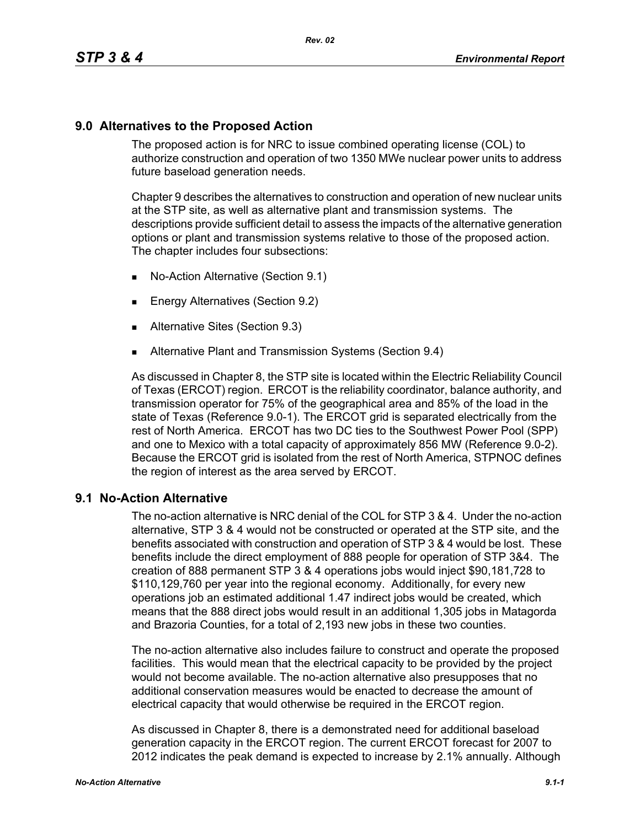## **9.0 Alternatives to the Proposed Action**

The proposed action is for NRC to issue combined operating license (COL) to authorize construction and operation of two 1350 MWe nuclear power units to address future baseload generation needs.

Chapter 9 describes the alternatives to construction and operation of new nuclear units at the STP site, as well as alternative plant and transmission systems. The descriptions provide sufficient detail to assess the impacts of the alternative generation options or plant and transmission systems relative to those of the proposed action. The chapter includes four subsections:

- No-Action Alternative (Section 9.1)
- **Energy Alternatives (Section 9.2)**
- **Alternative Sites (Section 9.3)**
- **Alternative Plant and Transmission Systems (Section 9.4)**

As discussed in Chapter 8, the STP site is located within the Electric Reliability Council of Texas (ERCOT) region. ERCOT is the reliability coordinator, balance authority, and transmission operator for 75% of the geographical area and 85% of the load in the state of Texas (Reference 9.0-1). The ERCOT grid is separated electrically from the rest of North America. ERCOT has two DC ties to the Southwest Power Pool (SPP) and one to Mexico with a total capacity of approximately 856 MW (Reference 9.0-2). Because the ERCOT grid is isolated from the rest of North America, STPNOC defines the region of interest as the area served by ERCOT.

## **9.1 No-Action Alternative**

The no-action alternative is NRC denial of the COL for STP 3 & 4. Under the no-action alternative, STP 3 & 4 would not be constructed or operated at the STP site, and the benefits associated with construction and operation of STP 3 & 4 would be lost. These benefits include the direct employment of 888 people for operation of STP 3&4. The creation of 888 permanent STP 3 & 4 operations jobs would inject \$90,181,728 to \$110,129,760 per year into the regional economy. Additionally, for every new operations job an estimated additional 1.47 indirect jobs would be created, which means that the 888 direct jobs would result in an additional 1,305 jobs in Matagorda and Brazoria Counties, for a total of 2,193 new jobs in these two counties.

The no-action alternative also includes failure to construct and operate the proposed facilities. This would mean that the electrical capacity to be provided by the project would not become available. The no-action alternative also presupposes that no additional conservation measures would be enacted to decrease the amount of electrical capacity that would otherwise be required in the ERCOT region.

As discussed in Chapter 8, there is a demonstrated need for additional baseload generation capacity in the ERCOT region. The current ERCOT forecast for 2007 to 2012 indicates the peak demand is expected to increase by 2.1% annually. Although